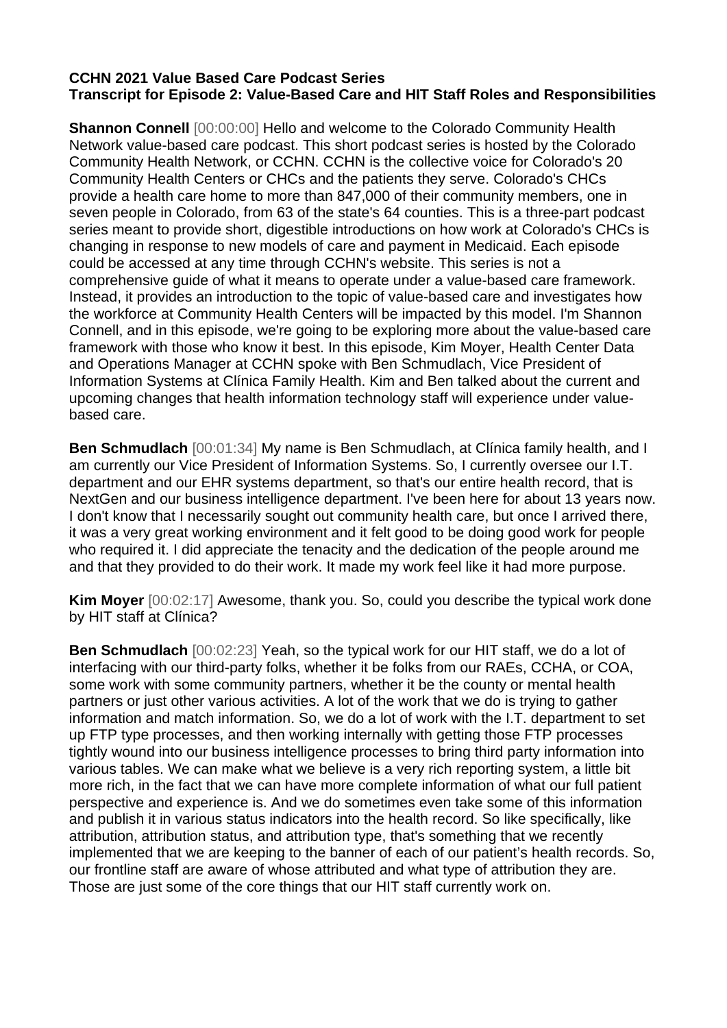## **CCHN 2021 Value Based Care Podcast Series Transcript for Episode 2: Value-Based Care and HIT Staff Roles and Responsibilities**

**Shannon Connell** [00:00:00] Hello and welcome to the Colorado Community Health Network value-based care podcast. This short podcast series is hosted by the Colorado Community Health Network, or CCHN. CCHN is the collective voice for Colorado's 20 Community Health Centers or CHCs and the patients they serve. Colorado's CHCs provide a health care home to more than 847,000 of their community members, one in seven people in Colorado, from 63 of the state's 64 counties. This is a three-part podcast series meant to provide short, digestible introductions on how work at Colorado's CHCs is changing in response to new models of care and payment in Medicaid. Each episode could be accessed at any time through CCHN's website. This series is not a comprehensive guide of what it means to operate under a value-based care framework. Instead, it provides an introduction to the topic of value-based care and investigates how the workforce at Community Health Centers will be impacted by this model. I'm Shannon Connell, and in this episode, we're going to be exploring more about the value-based care framework with those who know it best. In this episode, Kim Moyer, Health Center Data and Operations Manager at CCHN spoke with Ben Schmudlach, Vice President of Information Systems at Clínica Family Health. Kim and Ben talked about the current and upcoming changes that health information technology staff will experience under valuebased care.

**Ben Schmudlach** [00:01:34] My name is Ben Schmudlach, at Clínica family health, and I am currently our Vice President of Information Systems. So, I currently oversee our I.T. department and our EHR systems department, so that's our entire health record, that is NextGen and our business intelligence department. I've been here for about 13 years now. I don't know that I necessarily sought out community health care, but once I arrived there, it was a very great working environment and it felt good to be doing good work for people who required it. I did appreciate the tenacity and the dedication of the people around me and that they provided to do their work. It made my work feel like it had more purpose.

**Kim Moyer** [00:02:17] Awesome, thank you. So, could you describe the typical work done by HIT staff at Clínica?

**Ben Schmudlach** [00:02:23] Yeah, so the typical work for our HIT staff, we do a lot of interfacing with our third-party folks, whether it be folks from our RAEs, CCHA, or COA, some work with some community partners, whether it be the county or mental health partners or just other various activities. A lot of the work that we do is trying to gather information and match information. So, we do a lot of work with the I.T. department to set up FTP type processes, and then working internally with getting those FTP processes tightly wound into our business intelligence processes to bring third party information into various tables. We can make what we believe is a very rich reporting system, a little bit more rich, in the fact that we can have more complete information of what our full patient perspective and experience is. And we do sometimes even take some of this information and publish it in various status indicators into the health record. So like specifically, like attribution, attribution status, and attribution type, that's something that we recently implemented that we are keeping to the banner of each of our patient's health records. So, our frontline staff are aware of whose attributed and what type of attribution they are. Those are just some of the core things that our HIT staff currently work on.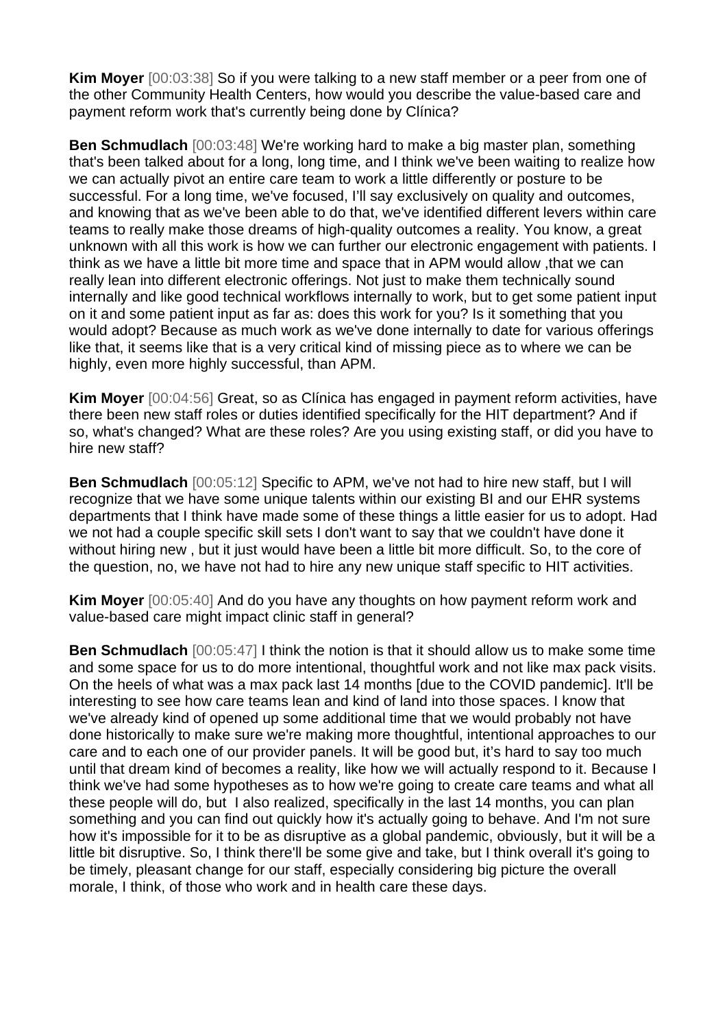**Kim Moyer** [00:03:38] So if you were talking to a new staff member or a peer from one of the other Community Health Centers, how would you describe the value-based care and payment reform work that's currently being done by Clínica?

**Ben Schmudlach** [00:03:48] We're working hard to make a big master plan, something that's been talked about for a long, long time, and I think we've been waiting to realize how we can actually pivot an entire care team to work a little differently or posture to be successful. For a long time, we've focused, I'll say exclusively on quality and outcomes, and knowing that as we've been able to do that, we've identified different levers within care teams to really make those dreams of high-quality outcomes a reality. You know, a great unknown with all this work is how we can further our electronic engagement with patients. I think as we have a little bit more time and space that in APM would allow ,that we can really lean into different electronic offerings. Not just to make them technically sound internally and like good technical workflows internally to work, but to get some patient input on it and some patient input as far as: does this work for you? Is it something that you would adopt? Because as much work as we've done internally to date for various offerings like that, it seems like that is a very critical kind of missing piece as to where we can be highly, even more highly successful, than APM.

**Kim Moyer** [00:04:56] Great, so as Clínica has engaged in payment reform activities, have there been new staff roles or duties identified specifically for the HIT department? And if so, what's changed? What are these roles? Are you using existing staff, or did you have to hire new staff?

**Ben Schmudlach** [00:05:12] Specific to APM, we've not had to hire new staff, but I will recognize that we have some unique talents within our existing BI and our EHR systems departments that I think have made some of these things a little easier for us to adopt. Had we not had a couple specific skill sets I don't want to say that we couldn't have done it without hiring new , but it just would have been a little bit more difficult. So, to the core of the question, no, we have not had to hire any new unique staff specific to HIT activities.

**Kim Moyer** [00:05:40] And do you have any thoughts on how payment reform work and value-based care might impact clinic staff in general?

**Ben Schmudlach** [00:05:47] I think the notion is that it should allow us to make some time and some space for us to do more intentional, thoughtful work and not like max pack visits. On the heels of what was a max pack last 14 months [due to the COVID pandemic]. It'll be interesting to see how care teams lean and kind of land into those spaces. I know that we've already kind of opened up some additional time that we would probably not have done historically to make sure we're making more thoughtful, intentional approaches to our care and to each one of our provider panels. It will be good but, it's hard to say too much until that dream kind of becomes a reality, like how we will actually respond to it. Because I think we've had some hypotheses as to how we're going to create care teams and what all these people will do, but I also realized, specifically in the last 14 months, you can plan something and you can find out quickly how it's actually going to behave. And I'm not sure how it's impossible for it to be as disruptive as a global pandemic, obviously, but it will be a little bit disruptive. So, I think there'll be some give and take, but I think overall it's going to be timely, pleasant change for our staff, especially considering big picture the overall morale, I think, of those who work and in health care these days.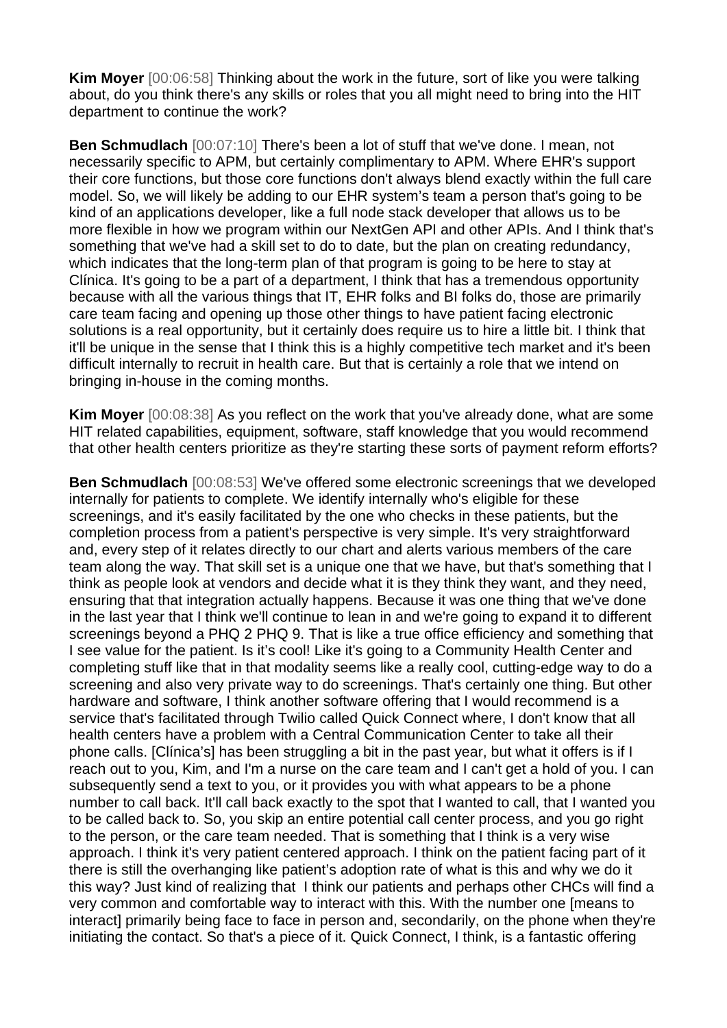**Kim Moyer** [00:06:58] Thinking about the work in the future, sort of like you were talking about, do you think there's any skills or roles that you all might need to bring into the HIT department to continue the work?

**Ben Schmudlach** [00:07:10] There's been a lot of stuff that we've done. I mean, not necessarily specific to APM, but certainly complimentary to APM. Where EHR's support their core functions, but those core functions don't always blend exactly within the full care model. So, we will likely be adding to our EHR system's team a person that's going to be kind of an applications developer, like a full node stack developer that allows us to be more flexible in how we program within our NextGen API and other APIs. And I think that's something that we've had a skill set to do to date, but the plan on creating redundancy, which indicates that the long-term plan of that program is going to be here to stay at Clínica. It's going to be a part of a department, I think that has a tremendous opportunity because with all the various things that IT, EHR folks and BI folks do, those are primarily care team facing and opening up those other things to have patient facing electronic solutions is a real opportunity, but it certainly does require us to hire a little bit. I think that it'll be unique in the sense that I think this is a highly competitive tech market and it's been difficult internally to recruit in health care. But that is certainly a role that we intend on bringing in-house in the coming months.

**Kim Moyer** [00:08:38] As you reflect on the work that you've already done, what are some HIT related capabilities, equipment, software, staff knowledge that you would recommend that other health centers prioritize as they're starting these sorts of payment reform efforts?

**Ben Schmudlach** [00:08:53] We've offered some electronic screenings that we developed internally for patients to complete. We identify internally who's eligible for these screenings, and it's easily facilitated by the one who checks in these patients, but the completion process from a patient's perspective is very simple. It's very straightforward and, every step of it relates directly to our chart and alerts various members of the care team along the way. That skill set is a unique one that we have, but that's something that I think as people look at vendors and decide what it is they think they want, and they need, ensuring that that integration actually happens. Because it was one thing that we've done in the last year that I think we'll continue to lean in and we're going to expand it to different screenings beyond a PHQ 2 PHQ 9. That is like a true office efficiency and something that I see value for the patient. Is it's cool! Like it's going to a Community Health Center and completing stuff like that in that modality seems like a really cool, cutting-edge way to do a screening and also very private way to do screenings. That's certainly one thing. But other hardware and software, I think another software offering that I would recommend is a service that's facilitated through Twilio called Quick Connect where, I don't know that all health centers have a problem with a Central Communication Center to take all their phone calls. [Clínica's] has been struggling a bit in the past year, but what it offers is if I reach out to you, Kim, and I'm a nurse on the care team and I can't get a hold of you. I can subsequently send a text to you, or it provides you with what appears to be a phone number to call back. It'll call back exactly to the spot that I wanted to call, that I wanted you to be called back to. So, you skip an entire potential call center process, and you go right to the person, or the care team needed. That is something that I think is a very wise approach. I think it's very patient centered approach. I think on the patient facing part of it there is still the overhanging like patient's adoption rate of what is this and why we do it this way? Just kind of realizing that I think our patients and perhaps other CHCs will find a very common and comfortable way to interact with this. With the number one [means to interact] primarily being face to face in person and, secondarily, on the phone when they're initiating the contact. So that's a piece of it. Quick Connect, I think, is a fantastic offering